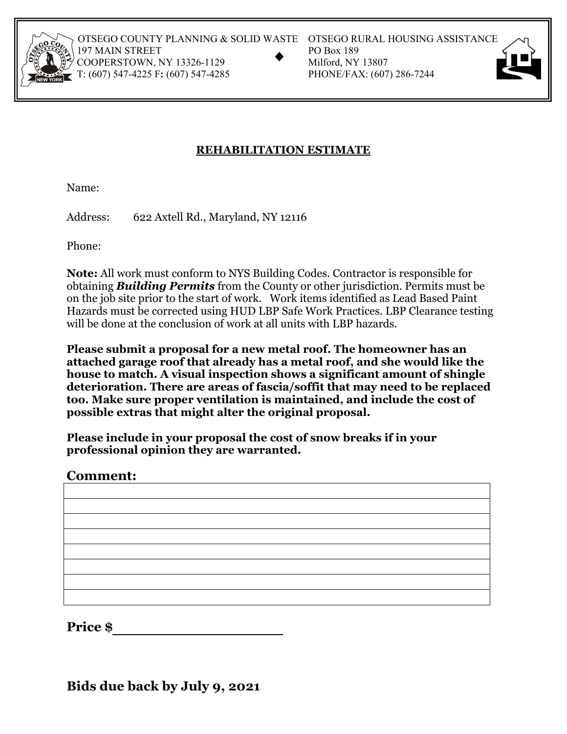

OTSEGO COUNTY PLANNING & SOLID WASTE OTSEGO RURAL HOUSING ASSISTANCE<br>
197 MAIN STREET PO Box 189<br>
COOPERSTOWN, NY 13326-1129 Milford, NY 13807<br>
T: (607) 547-4225 F: (607) 547-4285 PHONE/FAX: (607) 286-7244 197 MAIN STREET COOPERSTOWN, NY 13326-1129 T: (607) 547-4225 F: (607) 547-4285

- 
- 



## **REHABILITATION ESTIMATE**

Name:

Address: 622 Axtell Rd., Maryland, NY 12116

Phone:

**Note:** All work must conform to NYS Building Codes. Contractor is responsible for obtaining *Building Permits* from the County or other jurisdiction. Permits must be on the job site prior to the start of work. Work items identified as Lead Based Paint Hazards must be corrected using HUD LBP Safe Work Practices. LBP Clearance testing will be done at the conclusion of work at all units with LBP hazards.

**Please submit a proposal for a new metal roof. The homeowner has an attached garage roof that already has a metal roof, and she would like the house to match. A visual inspection shows a significant amount of shingle deterioration. There are areas of fascia/soffit that may need to be replaced too. Make sure proper ventilation is maintained, and include the cost of possible extras that might alter the original proposal.** 

**Please include in your proposal the cost of snow breaks if in your professional opinion they are warranted.** 

## **Comment:**

**Price \$** 

**Bids due back by July 9, 2021**